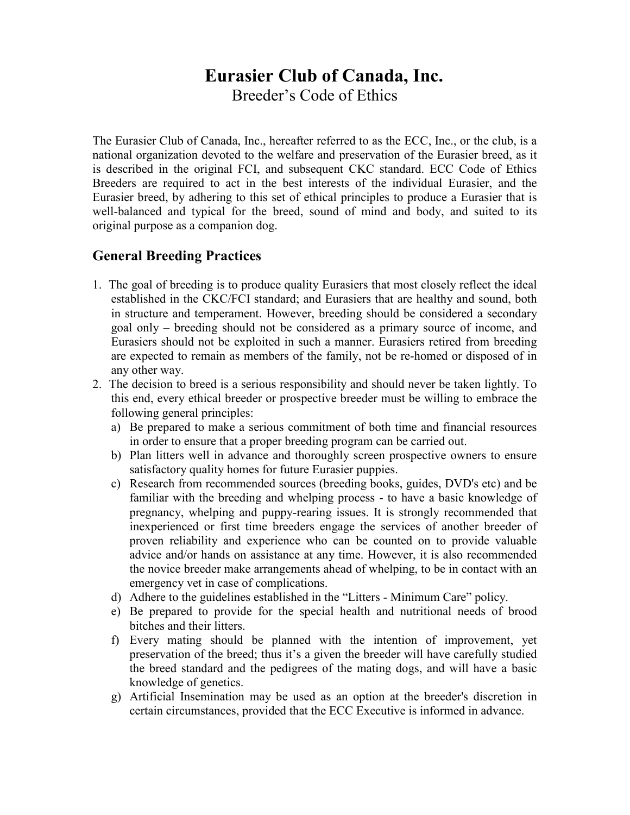# Eurasier Club of Canada, Inc.

Breeder's Code of Ethics

The Eurasier Club of Canada, Inc., hereafter referred to as the ECC, Inc., or the club, is a national organization devoted to the welfare and preservation of the Eurasier breed, as it is described in the original FCI, and subsequent CKC standard. ECC Code of Ethics Breeders are required to act in the best interests of the individual Eurasier, and the Eurasier breed, by adhering to this set of ethical principles to produce a Eurasier that is well-balanced and typical for the breed, sound of mind and body, and suited to its original purpose as a companion dog.

## General Breeding Practices

- 1. The goal of breeding is to produce quality Eurasiers that most closely reflect the ideal established in the CKC/FCI standard; and Eurasiers that are healthy and sound, both in structure and temperament. However, breeding should be considered a secondary goal only – breeding should not be considered as a primary source of income, and Eurasiers should not be exploited in such a manner. Eurasiers retired from breeding are expected to remain as members of the family, not be re-homed or disposed of in any other way.
- 2. The decision to breed is a serious responsibility and should never be taken lightly. To this end, every ethical breeder or prospective breeder must be willing to embrace the following general principles:
	- a) Be prepared to make a serious commitment of both time and financial resources in order to ensure that a proper breeding program can be carried out.
	- b) Plan litters well in advance and thoroughly screen prospective owners to ensure satisfactory quality homes for future Eurasier puppies.
	- c) Research from recommended sources (breeding books, guides, DVD's etc) and be familiar with the breeding and whelping process - to have a basic knowledge of pregnancy, whelping and puppy-rearing issues. It is strongly recommended that inexperienced or first time breeders engage the services of another breeder of proven reliability and experience who can be counted on to provide valuable advice and/or hands on assistance at any time. However, it is also recommended the novice breeder make arrangements ahead of whelping, to be in contact with an emergency vet in case of complications.
	- d) Adhere to the guidelines established in the "Litters Minimum Care" policy.
	- e) Be prepared to provide for the special health and nutritional needs of brood bitches and their litters.
	- f) Every mating should be planned with the intention of improvement, yet preservation of the breed; thus it's a given the breeder will have carefully studied the breed standard and the pedigrees of the mating dogs, and will have a basic knowledge of genetics.
	- g) Artificial Insemination may be used as an option at the breeder's discretion in certain circumstances, provided that the ECC Executive is informed in advance.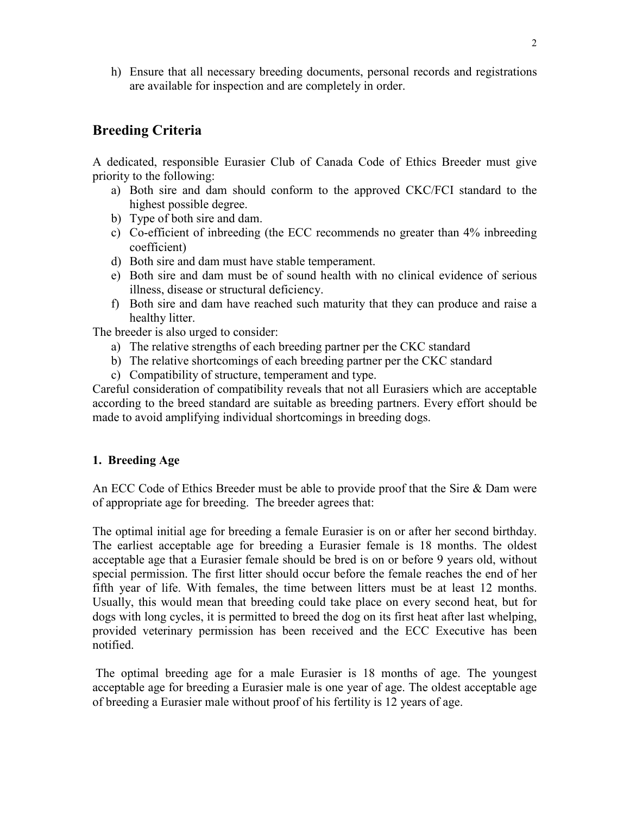h) Ensure that all necessary breeding documents, personal records and registrations are available for inspection and are completely in order.

# Breeding Criteria

A dedicated, responsible Eurasier Club of Canada Code of Ethics Breeder must give priority to the following:

- a) Both sire and dam should conform to the approved CKC/FCI standard to the highest possible degree.
- b) Type of both sire and dam.
- c) Co-efficient of inbreeding (the ECC recommends no greater than 4% inbreeding coefficient)
- d) Both sire and dam must have stable temperament.
- e) Both sire and dam must be of sound health with no clinical evidence of serious illness, disease or structural deficiency.
- f) Both sire and dam have reached such maturity that they can produce and raise a healthy litter.

The breeder is also urged to consider:

- a) The relative strengths of each breeding partner per the CKC standard
- b) The relative shortcomings of each breeding partner per the CKC standard
- c) Compatibility of structure, temperament and type.

Careful consideration of compatibility reveals that not all Eurasiers which are acceptable according to the breed standard are suitable as breeding partners. Every effort should be made to avoid amplifying individual shortcomings in breeding dogs.

#### 1. Breeding Age

An ECC Code of Ethics Breeder must be able to provide proof that the Sire & Dam were of appropriate age for breeding. The breeder agrees that:

The optimal initial age for breeding a female Eurasier is on or after her second birthday. The earliest acceptable age for breeding a Eurasier female is 18 months. The oldest acceptable age that a Eurasier female should be bred is on or before 9 years old, without special permission. The first litter should occur before the female reaches the end of her fifth year of life. With females, the time between litters must be at least 12 months. Usually, this would mean that breeding could take place on every second heat, but for dogs with long cycles, it is permitted to breed the dog on its first heat after last whelping, provided veterinary permission has been received and the ECC Executive has been notified.

 The optimal breeding age for a male Eurasier is 18 months of age. The youngest acceptable age for breeding a Eurasier male is one year of age. The oldest acceptable age of breeding a Eurasier male without proof of his fertility is 12 years of age.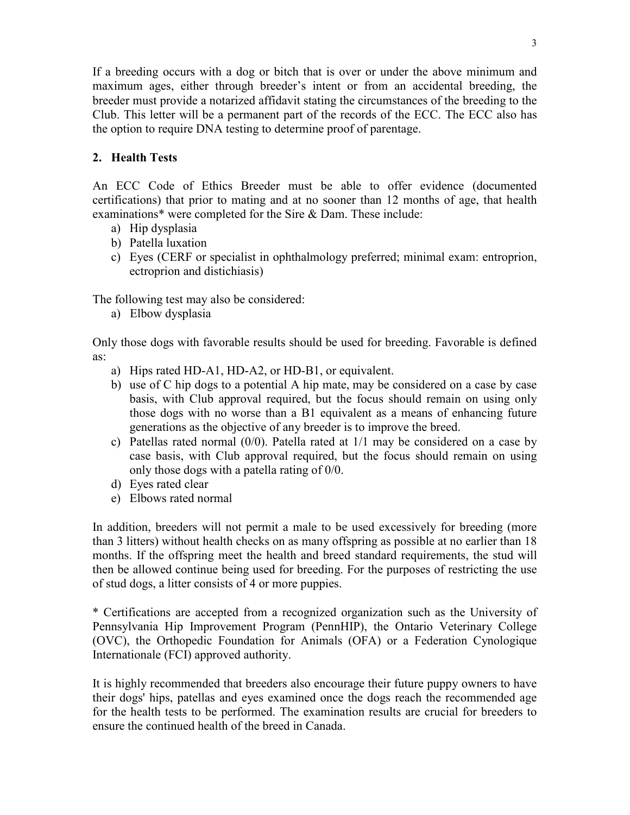If a breeding occurs with a dog or bitch that is over or under the above minimum and maximum ages, either through breeder's intent or from an accidental breeding, the breeder must provide a notarized affidavit stating the circumstances of the breeding to the Club. This letter will be a permanent part of the records of the ECC. The ECC also has the option to require DNA testing to determine proof of parentage.

## 2. Health Tests

An ECC Code of Ethics Breeder must be able to offer evidence (documented certifications) that prior to mating and at no sooner than 12 months of age, that health examinations\* were completed for the Sire & Dam. These include:

- a) Hip dysplasia
- b) Patella luxation
- c) Eyes (CERF or specialist in ophthalmology preferred; minimal exam: entroprion, ectroprion and distichiasis)

The following test may also be considered:

a) Elbow dysplasia

Only those dogs with favorable results should be used for breeding. Favorable is defined as:

- a) Hips rated HD-A1, HD-A2, or HD-B1, or equivalent.
- b) use of C hip dogs to a potential A hip mate, may be considered on a case by case basis, with Club approval required, but the focus should remain on using only those dogs with no worse than a B1 equivalent as a means of enhancing future generations as the objective of any breeder is to improve the breed.
- c) Patellas rated normal (0/0). Patella rated at 1/1 may be considered on a case by case basis, with Club approval required, but the focus should remain on using only those dogs with a patella rating of 0/0.
- d) Eyes rated clear
- e) Elbows rated normal

In addition, breeders will not permit a male to be used excessively for breeding (more than 3 litters) without health checks on as many offspring as possible at no earlier than 18 months. If the offspring meet the health and breed standard requirements, the stud will then be allowed continue being used for breeding. For the purposes of restricting the use of stud dogs, a litter consists of 4 or more puppies.

\* Certifications are accepted from a recognized organization such as the University of Pennsylvania Hip Improvement Program (PennHIP), the Ontario Veterinary College (OVC), the Orthopedic Foundation for Animals (OFA) or a Federation Cynologique Internationale (FCI) approved authority.

It is highly recommended that breeders also encourage their future puppy owners to have their dogs' hips, patellas and eyes examined once the dogs reach the recommended age for the health tests to be performed. The examination results are crucial for breeders to ensure the continued health of the breed in Canada.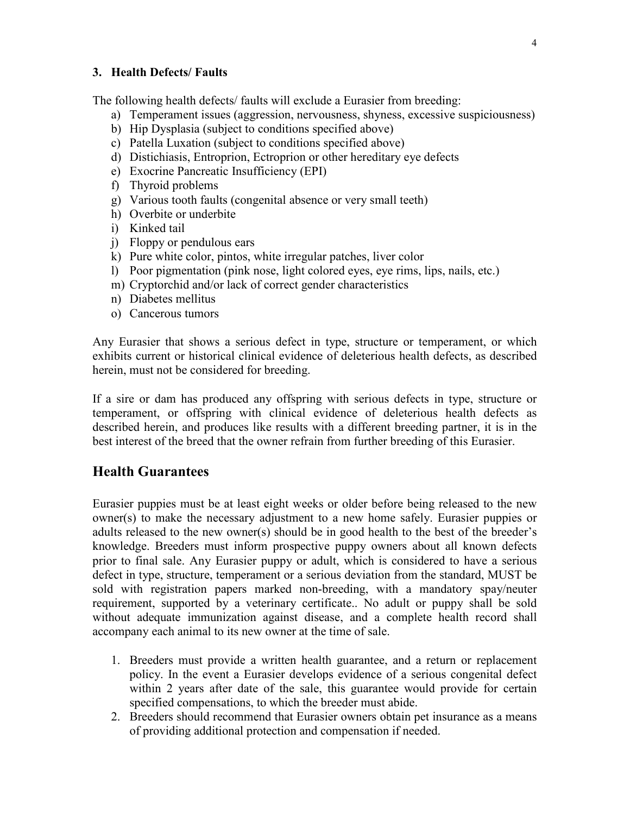#### 3. Health Defects/ Faults

The following health defects/ faults will exclude a Eurasier from breeding:

- a) Temperament issues (aggression, nervousness, shyness, excessive suspiciousness)
- b) Hip Dysplasia (subject to conditions specified above)
- c) Patella Luxation (subject to conditions specified above)
- d) Distichiasis, Entroprion, Ectroprion or other hereditary eye defects
- e) Exocrine Pancreatic Insufficiency (EPI)
- f) Thyroid problems
- g) Various tooth faults (congenital absence or very small teeth)
- h) Overbite or underbite
- i) Kinked tail
- j) Floppy or pendulous ears
- k) Pure white color, pintos, white irregular patches, liver color
- l) Poor pigmentation (pink nose, light colored eyes, eye rims, lips, nails, etc.)
- m) Cryptorchid and/or lack of correct gender characteristics
- n) Diabetes mellitus
- o) Cancerous tumors

Any Eurasier that shows a serious defect in type, structure or temperament, or which exhibits current or historical clinical evidence of deleterious health defects, as described herein, must not be considered for breeding.

If a sire or dam has produced any offspring with serious defects in type, structure or temperament, or offspring with clinical evidence of deleterious health defects as described herein, and produces like results with a different breeding partner, it is in the best interest of the breed that the owner refrain from further breeding of this Eurasier.

# Health Guarantees

Eurasier puppies must be at least eight weeks or older before being released to the new owner(s) to make the necessary adjustment to a new home safely. Eurasier puppies or adults released to the new owner(s) should be in good health to the best of the breeder's knowledge. Breeders must inform prospective puppy owners about all known defects prior to final sale. Any Eurasier puppy or adult, which is considered to have a serious defect in type, structure, temperament or a serious deviation from the standard, MUST be sold with registration papers marked non-breeding, with a mandatory spay/neuter requirement, supported by a veterinary certificate.. No adult or puppy shall be sold without adequate immunization against disease, and a complete health record shall accompany each animal to its new owner at the time of sale.

- 1. Breeders must provide a written health guarantee, and a return or replacement policy. In the event a Eurasier develops evidence of a serious congenital defect within 2 years after date of the sale, this guarantee would provide for certain specified compensations, to which the breeder must abide.
- 2. Breeders should recommend that Eurasier owners obtain pet insurance as a means of providing additional protection and compensation if needed.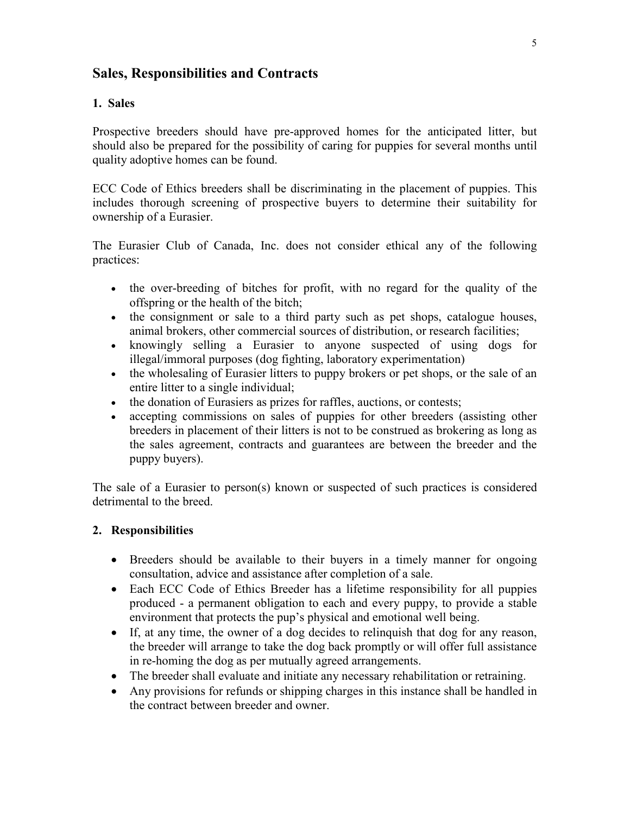## Sales, Responsibilities and Contracts

#### 1. Sales

Prospective breeders should have pre-approved homes for the anticipated litter, but should also be prepared for the possibility of caring for puppies for several months until quality adoptive homes can be found.

ECC Code of Ethics breeders shall be discriminating in the placement of puppies. This includes thorough screening of prospective buyers to determine their suitability for ownership of a Eurasier.

The Eurasier Club of Canada, Inc. does not consider ethical any of the following practices:

- the over-breeding of bitches for profit, with no regard for the quality of the offspring or the health of the bitch;
- the consignment or sale to a third party such as pet shops, catalogue houses, animal brokers, other commercial sources of distribution, or research facilities;
- knowingly selling a Eurasier to anyone suspected of using dogs for illegal/immoral purposes (dog fighting, laboratory experimentation)
- the wholesaling of Eurasier litters to puppy brokers or pet shops, or the sale of an entire litter to a single individual;
- the donation of Eurasiers as prizes for raffles, auctions, or contests;
- accepting commissions on sales of puppies for other breeders (assisting other breeders in placement of their litters is not to be construed as brokering as long as the sales agreement, contracts and guarantees are between the breeder and the puppy buyers).

The sale of a Eurasier to person(s) known or suspected of such practices is considered detrimental to the breed.

#### 2. Responsibilities

- Breeders should be available to their buyers in a timely manner for ongoing consultation, advice and assistance after completion of a sale.
- Each ECC Code of Ethics Breeder has a lifetime responsibility for all puppies produced - a permanent obligation to each and every puppy, to provide a stable environment that protects the pup's physical and emotional well being.
- If, at any time, the owner of a dog decides to relinquish that dog for any reason, the breeder will arrange to take the dog back promptly or will offer full assistance in re-homing the dog as per mutually agreed arrangements.
- The breeder shall evaluate and initiate any necessary rehabilitation or retraining.
- Any provisions for refunds or shipping charges in this instance shall be handled in the contract between breeder and owner.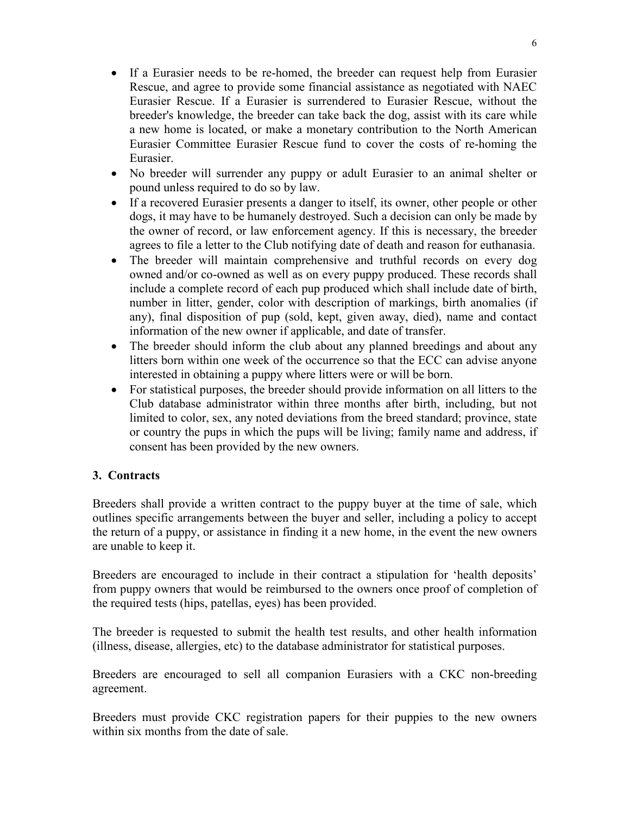- If a Eurasier needs to be re-homed, the breeder can request help from Eurasier Rescue, and agree to provide some financial assistance as negotiated with NAEC Eurasier Rescue. If a Eurasier is surrendered to Eurasier Rescue, without the breeder's knowledge, the breeder can take back the dog, assist with its care while a new home is located, or make a monetary contribution to the North American Eurasier Committee Eurasier Rescue fund to cover the costs of re-homing the Eurasier.
- No breeder will surrender any puppy or adult Eurasier to an animal shelter or pound unless required to do so by law.
- If a recovered Eurasier presents a danger to itself, its owner, other people or other dogs, it may have to be humanely destroyed. Such a decision can only be made by the owner of record, or law enforcement agency. If this is necessary, the breeder agrees to file a letter to the Club notifying date of death and reason for euthanasia.
- The breeder will maintain comprehensive and truthful records on every dog owned and/or co-owned as well as on every puppy produced. These records shall include a complete record of each pup produced which shall include date of birth, number in litter, gender, color with description of markings, birth anomalies (if any), final disposition of pup (sold, kept, given away, died), name and contact information of the new owner if applicable, and date of transfer.
- The breeder should inform the club about any planned breedings and about any litters born within one week of the occurrence so that the ECC can advise anyone interested in obtaining a puppy where litters were or will be born.
- For statistical purposes, the breeder should provide information on all litters to the Club database administrator within three months after birth, including, but not limited to color, sex, any noted deviations from the breed standard; province, state or country the pups in which the pups will be living; family name and address, if consent has been provided by the new owners.

#### 3. Contracts

Breeders shall provide a written contract to the puppy buyer at the time of sale, which outlines specific arrangements between the buyer and seller, including a policy to accept the return of a puppy, or assistance in finding it a new home, in the event the new owners are unable to keep it.

Breeders are encouraged to include in their contract a stipulation for 'health deposits' from puppy owners that would be reimbursed to the owners once proof of completion of the required tests (hips, patellas, eyes) has been provided.

The breeder is requested to submit the health test results, and other health information (illness, disease, allergies, etc) to the database administrator for statistical purposes.

Breeders are encouraged to sell all companion Eurasiers with a CKC non-breeding agreement.

Breeders must provide CKC registration papers for their puppies to the new owners within six months from the date of sale.